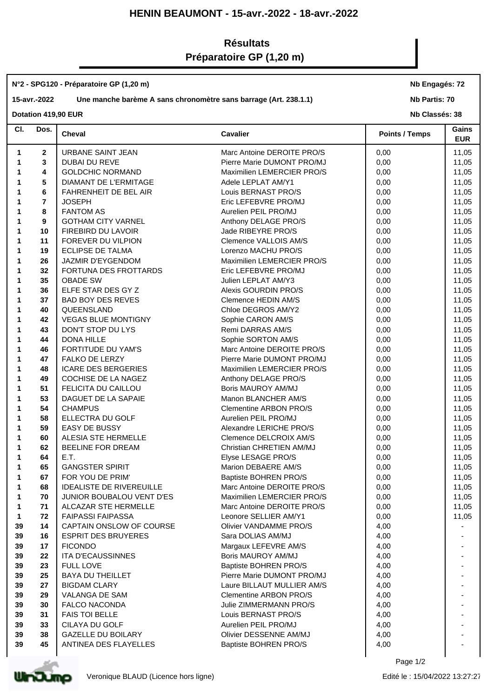## **HENIN BEAUMONT - 15-avr.-2022 - 18-avr.-2022**

# **Résultats Préparatoire GP (1,20 m)**

#### **N°2 - SPG120 - Préparatoire GP (1,20 m)**

## **15-avr.-2022 Une manche barème A sans chronomètre sans barrage (Art. 238.1.1)**

**Nb Engagés: 72**

**Nb Partis: 70**

### **Dotation 419,90 EUR**

**Nb Classés: 38** 

| CI. | Dos.                    | Cheval                           | <b>Cavalier</b>               | <b>Points / Temps</b> | Gains<br><b>EUR</b> |
|-----|-------------------------|----------------------------------|-------------------------------|-----------------------|---------------------|
| 1   | $\mathbf{2}$            | URBANE SAINT JEAN                | Marc Antoine DEROITE PRO/S    | 0,00                  | 11,05               |
| 1   | 3                       | DUBAI DU REVE                    | Pierre Marie DUMONT PRO/MJ    | 0,00                  | 11,05               |
| 1   | 4                       | <b>GOLDCHIC NORMAND</b>          | Maximilien LEMERCIER PRO/S    | 0,00                  | 11,05               |
| 1   | 5                       | <b>DIAMANT DE L'ERMITAGE</b>     | Adele LEPLAT AM/Y1            | 0,00                  | 11,05               |
| 1   | 6                       | FAHRENHEIT DE BEL AIR            | Louis BERNAST PRO/S           | 0,00                  | 11,05               |
| 1   | $\overline{\mathbf{r}}$ | <b>JOSEPH</b>                    | Eric LEFEBVRE PRO/MJ          | 0,00                  | 11,05               |
| 1   | 8                       | <b>FANTOM AS</b>                 | Aurelien PEIL PRO/MJ          | 0,00                  | 11,05               |
| 1   | 9                       | <b>GOTHAM CITY VARNEL</b>        | Anthony DELAGE PRO/S          | 0,00                  | 11,05               |
| 1   | 10                      | FIREBIRD DU LAVOIR               | Jade RIBEYRE PRO/S            | 0,00                  | 11,05               |
| 1   | 11                      | FOREVER DU VILPION               | Clemence VALLOIS AM/S         | 0,00                  | 11,05               |
| 1   | 19                      | <b>ECLIPSE DE TALMA</b>          | Lorenzo MACHU PRO/S           | 0,00                  | 11,05               |
| 1   | 26                      | JAZMIR D'EYGENDOM                | Maximilien LEMERCIER PRO/S    | 0,00                  | 11,05               |
| 1   | 32                      | FORTUNA DES FROTTARDS            | Eric LEFEBVRE PRO/MJ          | 0,00                  | 11,05               |
| 1   | 35                      | <b>OBADE SW</b>                  | Julien LEPLAT AM/Y3           | 0,00                  | 11,05               |
| 1   | 36                      | ELFE STAR DES GY Z               | Alexis GOURDIN PRO/S          | 0,00                  | 11,05               |
| 1   | 37                      | <b>BAD BOY DES REVES</b>         | Clemence HEDIN AM/S           | 0,00                  | 11,05               |
| 1   | 40                      | QUEENSLAND                       | Chloe DEGROS AM/Y2            | 0,00                  | 11,05               |
| 1   | 42                      | <b>VEGAS BLUE MONTIGNY</b>       | Sophie CARON AM/S             | 0,00                  | 11,05               |
| 1   | 43                      | DON'T STOP DU LYS                | Remi DARRAS AM/S              | 0,00                  | 11,05               |
| 1   | 44                      | <b>DONA HILLE</b>                | Sophie SORTON AM/S            | 0,00                  | 11,05               |
| 1   | 46                      | FORTITUDE DU YAM'S               | Marc Antoine DEROITE PRO/S    | 0,00                  | 11,05               |
| 1   | 47                      | FALKO DE LERZY                   | Pierre Marie DUMONT PRO/MJ    | 0,00                  | 11,05               |
| 1   | 48                      | <b>ICARE DES BERGERIES</b>       | Maximilien LEMERCIER PRO/S    | 0,00                  | 11,05               |
| 1   | 49                      | COCHISE DE LA NAGEZ              | Anthony DELAGE PRO/S          | 0,00                  | 11,05               |
| 1   | 51                      | FELICITA DU CAILLOU              | Boris MAUROY AM/MJ            | 0,00                  | 11,05               |
| 1   | 53                      | DAGUET DE LA SAPAIE              | Manon BLANCHER AM/S           | 0,00                  | 11,05               |
| 1   | 54                      | <b>CHAMPUS</b>                   | <b>Clementine ARBON PRO/S</b> | 0,00                  | 11,05               |
| 1   | 58                      | ELLECTRA DU GOLF                 | Aurelien PEIL PRO/MJ          | 0,00                  | 11,05               |
| 1   | 59                      | <b>EASY DE BUSSY</b>             | Alexandre LERICHE PRO/S       | 0,00                  | 11,05               |
| 1   | 60                      | ALESIA STE HERMELLE              | Clemence DELCROIX AM/S        | 0,00                  | 11,05               |
| 1   | 62                      | BEELINE FOR DREAM                | Christian CHRETIEN AM/MJ      | 0,00                  | 11,05               |
| 1   | 64                      | E.T.                             | Elyse LESAGE PRO/S            | 0,00                  | 11,05               |
| 1   | 65                      | <b>GANGSTER SPIRIT</b>           | Marion DEBAERE AM/S           | 0,00                  | 11,05               |
| 1   | 67                      | FOR YOU DE PRIM'                 | <b>Baptiste BOHREN PRO/S</b>  | 0,00                  | 11,05               |
| 1   | 68                      | <b>IDEALISTE DE RIVEREUILLE</b>  | Marc Antoine DEROITE PRO/S    | 0,00                  | 11,05               |
| 1   | 70                      | <b>JUNIOR BOUBALOU VENT D'ES</b> | Maximilien LEMERCIER PRO/S    | 0,00                  | 11,05               |
| 1   | 71                      | ALCAZAR STE HERMELLE             | Marc Antoine DEROITE PRO/S    | 0,00                  | 11,05               |
| 1   | 72                      | <b>FAIPASSI FAIPASSA</b>         | Leonore SELLIER AM/Y1         | 0,00                  | 11,05               |
| 39  | 14                      | CAPTAIN ONSLOW OF COURSE         | Olivier VANDAMME PRO/S        | 4,00                  |                     |
| 39  | 16                      | <b>ESPRIT DES BRUYERES</b>       | Sara DOLIAS AM/MJ             | 4,00                  |                     |
| 39  | 17                      | <b>FICONDO</b>                   | Margaux LEFEVRE AM/S          | 4,00                  |                     |
| 39  | 22                      | <b>ITA D'ECAUSSINNES</b>         | Boris MAUROY AM/MJ            | 4,00                  |                     |
| 39  | 23                      | <b>FULL LOVE</b>                 | Baptiste BOHREN PRO/S         | 4,00                  |                     |
| 39  | 25                      | <b>BAYA DU THEILLET</b>          | Pierre Marie DUMONT PRO/MJ    | 4,00                  |                     |
| 39  | 27                      | <b>BIGDAM CLARY</b>              | Laure BILLAUT MULLIER AM/S    | 4,00                  |                     |
| 39  | 29                      | VALANGA DE SAM                   | <b>Clementine ARBON PRO/S</b> | 4,00                  |                     |
| 39  | 30                      | <b>FALCO NACONDA</b>             | Julie ZIMMERMANN PRO/S        | 4,00                  |                     |
| 39  | 31                      | <b>FAIS TOI BELLE</b>            | Louis BERNAST PRO/S           | 4,00                  |                     |
| 39  | 33                      | CILAYA DU GOLF                   | Aurelien PEIL PRO/MJ          | 4,00                  |                     |
| 39  | 38                      | <b>GAZELLE DU BOILARY</b>        | Olivier DESSENNE AM/MJ        | 4,00                  |                     |
| 39  | 45                      | ANTINEA DES FLAYELLES            | Baptiste BOHREN PRO/S         | 4,00                  |                     |
|     |                         |                                  |                               |                       |                     |